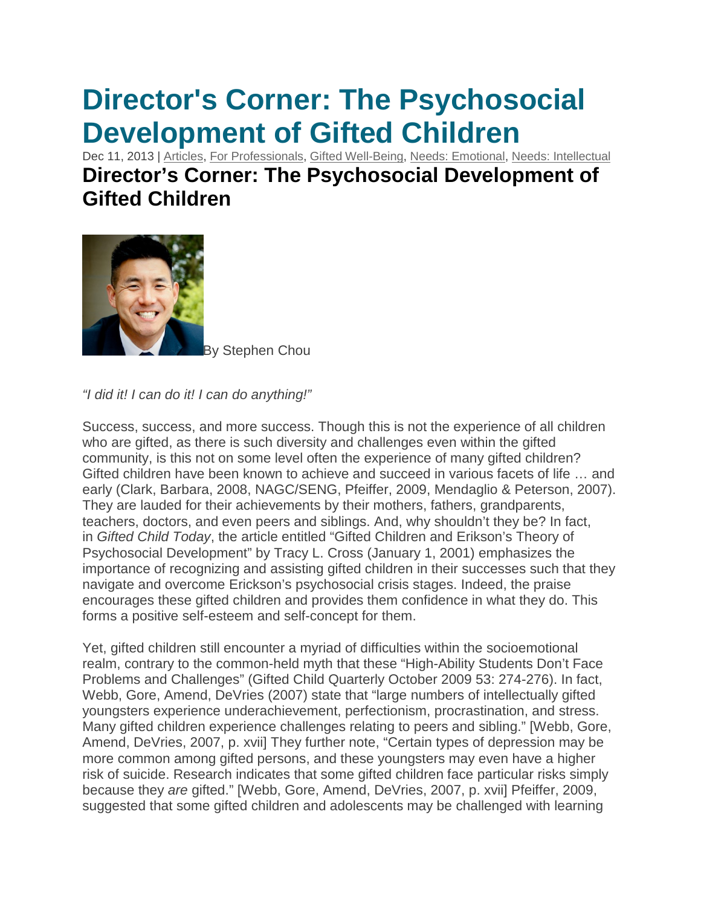## **Director's Corner: The Psychosocial Development of Gifted Children**

Dec 11, 2013 | [Articles,](http://sengifted.org/category/articles/) For [Professionals,](http://sengifted.org/category/articles/for-professionals/) Gifted [Well-Being,](http://sengifted.org/category/articles/gifted-well-being/) Needs: [Emotional,](http://sengifted.org/category/articles/emotional-needs/) Needs: [Intellectual](http://sengifted.org/category/articles/intellectual-needs/)

## **Director's Corner: The Psychosocial Development of Gifted Children**



v Stephen Chou

*"I did it! I can do it! I can do anything!"*

Success, success, and more success. Though this is not the experience of all children who are gifted, as there is such diversity and challenges even within the gifted community, is this not on some level often the experience of many gifted children? Gifted children have been known to achieve and succeed in various facets of life … and early (Clark, Barbara, 2008, NAGC/SENG, Pfeiffer, 2009, Mendaglio & Peterson, 2007). They are lauded for their achievements by their mothers, fathers, grandparents, teachers, doctors, and even peers and siblings. And, why shouldn't they be? In fact, in *Gifted Child Today*, the article entitled "Gifted Children and Erikson's Theory of Psychosocial Development" by Tracy L. Cross (January 1, 2001) emphasizes the importance of recognizing and assisting gifted children in their successes such that they navigate and overcome Erickson's psychosocial crisis stages. Indeed, the praise encourages these gifted children and provides them confidence in what they do. This forms a positive self-esteem and self-concept for them.

Yet, gifted children still encounter a myriad of difficulties within the socioemotional realm, contrary to the common-held myth that these "High-Ability Students Don't Face Problems and Challenges" (Gifted Child Quarterly October 2009 53: 274-276). In fact, Webb, Gore, Amend, DeVries (2007) state that "large numbers of intellectually gifted youngsters experience underachievement, perfectionism, procrastination, and stress. Many gifted children experience challenges relating to peers and sibling." [Webb, Gore, Amend, DeVries, 2007, p. xvii] They further note, "Certain types of depression may be more common among gifted persons, and these youngsters may even have a higher risk of suicide. Research indicates that some gifted children face particular risks simply because they *are* gifted." [Webb, Gore, Amend, DeVries, 2007, p. xvii] Pfeiffer, 2009, suggested that some gifted children and adolescents may be challenged with learning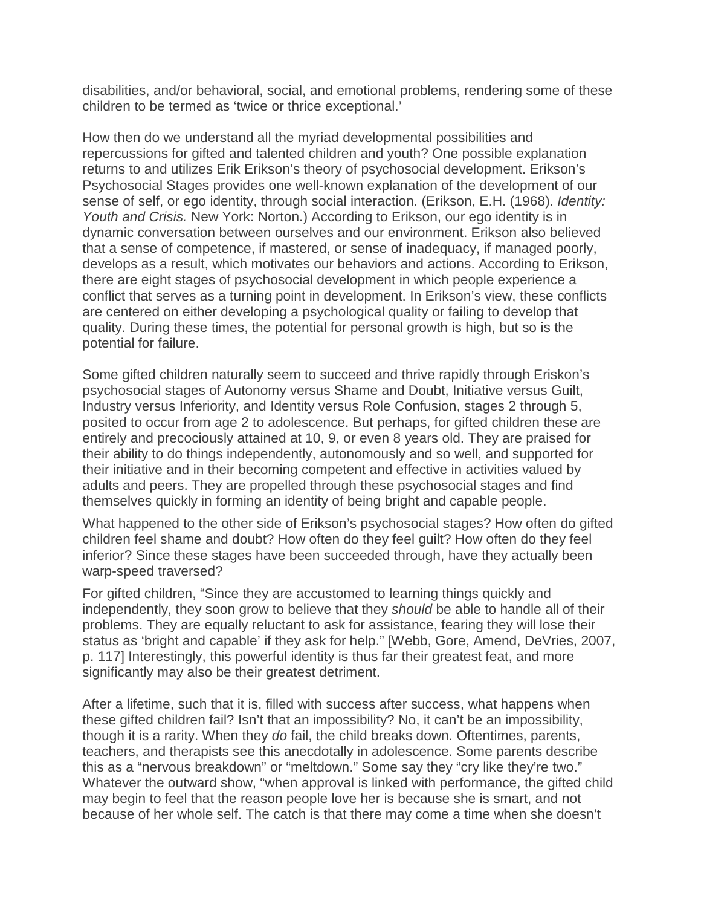disabilities, and/or behavioral, social, and emotional problems, rendering some of these children to be termed as 'twice or thrice exceptional.'

How then do we understand all the myriad developmental possibilities and repercussions for gifted and talented children and youth? One possible explanation returns to and utilizes Erik Erikson's theory of psychosocial development. Erikson's Psychosocial Stages provides one well-known explanation of the development of our sense of self, or ego identity, through social interaction. (Erikson, E.H. (1968). *Identity: Youth and Crisis.* New York: Norton.) According to Erikson, our ego identity is in dynamic conversation between ourselves and our environment. Erikson also believed that a sense of competence, if mastered, or sense of inadequacy, if managed poorly, develops as a result, which motivates our behaviors and actions. According to Erikson, there are eight stages of psychosocial development in which people experience a conflict that serves as a turning point in development. In Erikson's view, these conflicts are centered on either developing a psychological quality or failing to develop that quality. During these times, the potential for personal growth is high, but so is the potential for failure.

Some gifted children naturally seem to succeed and thrive rapidly through Eriskon's psychosocial stages of Autonomy versus Shame and Doubt, Initiative versus Guilt, Industry versus Inferiority, and Identity versus Role Confusion, stages 2 through 5, posited to occur from age 2 to adolescence. But perhaps, for gifted children these are entirely and precociously attained at 10, 9, or even 8 years old. They are praised for their ability to do things independently, autonomously and so well, and supported for their initiative and in their becoming competent and effective in activities valued by adults and peers. They are propelled through these psychosocial stages and find themselves quickly in forming an identity of being bright and capable people.

What happened to the other side of Erikson's psychosocial stages? How often do gifted children feel shame and doubt? How often do they feel guilt? How often do they feel inferior? Since these stages have been succeeded through, have they actually been warp-speed traversed?

For gifted children, "Since they are accustomed to learning things quickly and independently, they soon grow to believe that they *should* be able to handle all of their problems. They are equally reluctant to ask for assistance, fearing they will lose their status as 'bright and capable' if they ask for help." [Webb, Gore, Amend, DeVries, 2007, p. 117] Interestingly, this powerful identity is thus far their greatest feat, and more significantly may also be their greatest detriment.

After a lifetime, such that it is, filled with success after success, what happens when these gifted children fail? Isn't that an impossibility? No, it can't be an impossibility, though it is a rarity. When they *do* fail, the child breaks down. Oftentimes, parents, teachers, and therapists see this anecdotally in adolescence. Some parents describe this as a "nervous breakdown" or "meltdown." Some say they "cry like they're two." Whatever the outward show, "when approval is linked with performance, the gifted child may begin to feel that the reason people love her is because she is smart, and not because of her whole self. The catch is that there may come a time when she doesn't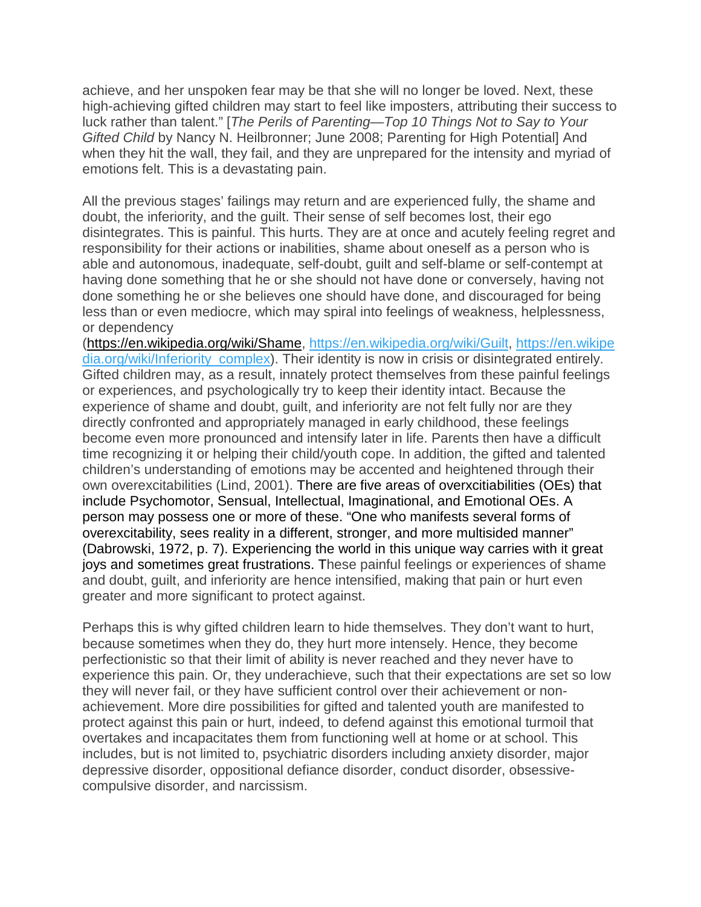achieve, and her unspoken fear may be that she will no longer be loved. Next, these high-achieving gifted children may start to feel like imposters, attributing their success to luck rather than talent." [*The Perils of Parenting—Top 10 Things Not to Say to Your Gifted Child* by Nancy N. Heilbronner; June 2008; Parenting for High Potential] And when they hit the wall, they fail, and they are unprepared for the intensity and myriad of emotions felt. This is a devastating pain.

All the previous stages' failings may return and are experienced fully, the shame and doubt, the inferiority, and the guilt. Their sense of self becomes lost, their ego disintegrates. This is painful. This hurts. They are at once and acutely feeling regret and responsibility for their actions or inabilities, shame about oneself as a person who is able and autonomous, inadequate, self-doubt, guilt and self-blame or self-contempt at having done something that he or she should not have done or conversely, having not done something he or she believes one should have done, and discouraged for being less than or even mediocre, which may spiral into feelings of weakness, helplessness, or dependency

[\(https://en.wikipedia.org/wiki/Shame,](https://en.wikipedia.org/wiki/Shame) [https://en.wikipedia.org/wiki/Guilt,](https://en.wikipedia.org/wiki/Guilt) [https://en.wikipe](https://en.wikipedia.org/wiki/Inferiority_complex) [dia.org/wiki/Inferiority\\_complex\)](https://en.wikipedia.org/wiki/Inferiority_complex). Their identity is now in crisis or disintegrated entirely. Gifted children may, as a result, innately protect themselves from these painful feelings or experiences, and psychologically try to keep their identity intact. Because the experience of shame and doubt, guilt, and inferiority are not felt fully nor are they directly confronted and appropriately managed in early childhood, these feelings become even more pronounced and intensify later in life. Parents then have a difficult time recognizing it or helping their child/youth cope. In addition, the gifted and talented children's understanding of emotions may be accented and heightened through their own overexcitabilities (Lind, 2001). There are five areas of overxcitiabilities (OEs) that include Psychomotor, Sensual, Intellectual, Imaginational, and Emotional OEs. A person may possess one or more of these. "One who manifests several forms of overexcitability, sees reality in a different, stronger, and more multisided manner" (Dabrowski, 1972, p. 7). Experiencing the world in this unique way carries with it great joys and sometimes great frustrations. These painful feelings or experiences of shame and doubt, guilt, and inferiority are hence intensified, making that pain or hurt even greater and more significant to protect against.

Perhaps this is why gifted children learn to hide themselves. They don't want to hurt, because sometimes when they do, they hurt more intensely. Hence, they become perfectionistic so that their limit of ability is never reached and they never have to experience this pain. Or, they underachieve, such that their expectations are set so low they will never fail, or they have sufficient control over their achievement or nonachievement. More dire possibilities for gifted and talented youth are manifested to protect against this pain or hurt, indeed, to defend against this emotional turmoil that overtakes and incapacitates them from functioning well at home or at school. This includes, but is not limited to, psychiatric disorders including anxiety disorder, major depressive disorder, oppositional defiance disorder, conduct disorder, obsessivecompulsive disorder, and narcissism.